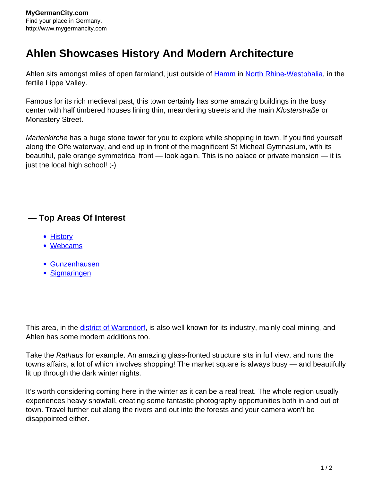## **Ahlen Showcases History And Modern Architecture**

Ahlen sits amongst miles of open farmland, just outside of [Hamm](http://www.mygermancity.com/hamm) in [North Rhine-Westphalia](http://www.mygermancity.com/north-rhine-westphalia), in the fertile Lippe Valley.

Famous for its rich medieval past, this town certainly has some amazing buildings in the busy center with half timbered houses lining thin, meandering streets and the main Klosterstraße or Monastery Street.

Marienkirche has a huge stone tower for you to explore while shopping in town. If you find yourself along the Olfe waterway, and end up in front of the magnificent St Micheal Gymnasium, with its beautiful, pale orange symmetrical front — look again. This is no palace or private mansion — it is just the local high school! ;-)

## **— Top Areas Of Interest**

- **[History](http://www.mygermancity.com/leipzig-history)**
- [Webcams](http://www.mygermancity.com/neustadt-holstein-webcams)
- [Gunzenhausen](http://www.mygermancity.com/gunzenhausen)
- [Sigmaringen](http://www.mygermancity.com/sigmaringen)

This area, in the *[district of Warendorf](http://www.mygermancity.com/warendorf-district)*, is also well known for its industry, mainly coal mining, and Ahlen has some modern additions too.

Take the Rathaus for example. An amazing glass-fronted structure sits in full view, and runs the towns affairs, a lot of which involves shopping! The market square is always busy — and beautifully lit up through the dark winter nights.

It's worth considering coming here in the winter as it can be a real treat. The whole region usually experiences heavy snowfall, creating some fantastic photography opportunities both in and out of town. Travel further out along the rivers and out into the forests and your camera won't be disappointed either.